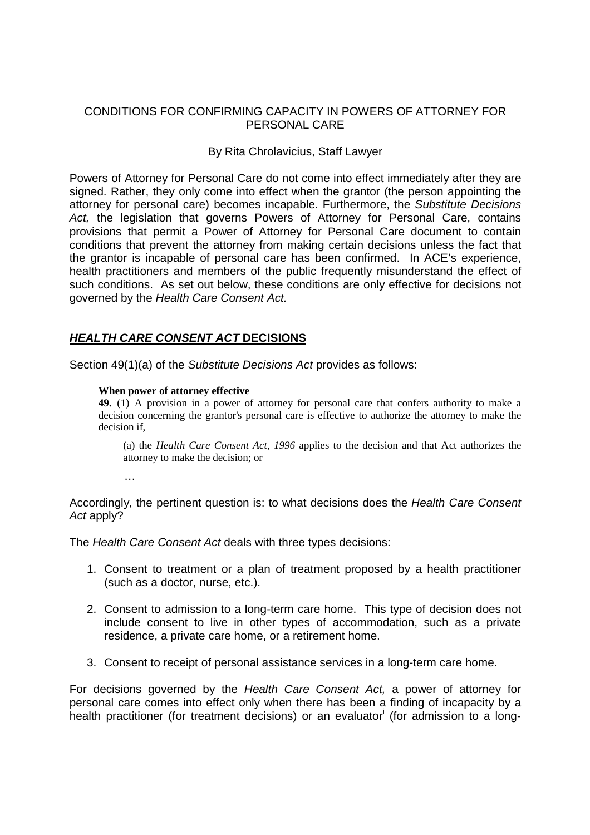### CONDITIONS FOR CONFIRMING CAPACITY IN POWERS OF ATTORNEY FOR PERSONAL CARE

### By Rita Chrolavicius, Staff Lawyer

Powers of Attorney for Personal Care do not come into effect immediately after they are signed. Rather, they only come into effect when the grantor (the person appointing the attorney for personal care) becomes incapable. Furthermore, the Substitute Decisions Act, the legislation that governs Powers of Attorney for Personal Care, contains provisions that permit a Power of Attorney for Personal Care document to contain conditions that prevent the attorney from making certain decisions unless the fact that the grantor is incapable of personal care has been confirmed. In ACE's experience, health practitioners and members of the public frequently misunderstand the effect of such conditions. As set out below, these conditions are only effective for decisions not governed by the Health Care Consent Act.

# **HEALTH CARE CONSENT ACT DECISIONS**

Section 49(1)(a) of the Substitute Decisions Act provides as follows:

#### **When power of attorney effective**

**49.** (1) A provision in a power of attorney for personal care that confers authority to make a decision concerning the grantor's personal care is effective to authorize the attorney to make the decision if,

(a) the *Health Care Consent Act, 1996* applies to the decision and that Act authorizes the attorney to make the decision; or

…

Accordingly, the pertinent question is: to what decisions does the Health Care Consent Act apply?

The Health Care Consent Act deals with three types decisions:

- 1. Consent to treatment or a plan of treatment proposed by a health practitioner (such as a doctor, nurse, etc.).
- 2. Consent to admission to a long-term care home. This type of decision does not include consent to live in other types of accommodation, such as a private residence, a private care home, or a retirement home.
- 3. Consent to receipt of personal assistance services in a long-term care home.

For decisions governed by the Health Care Consent Act, a power of attorney for personal care comes into effect only when there has been a finding of incapacity by a health practitioner (for treatment decisions) or an evaluator (for admission to a long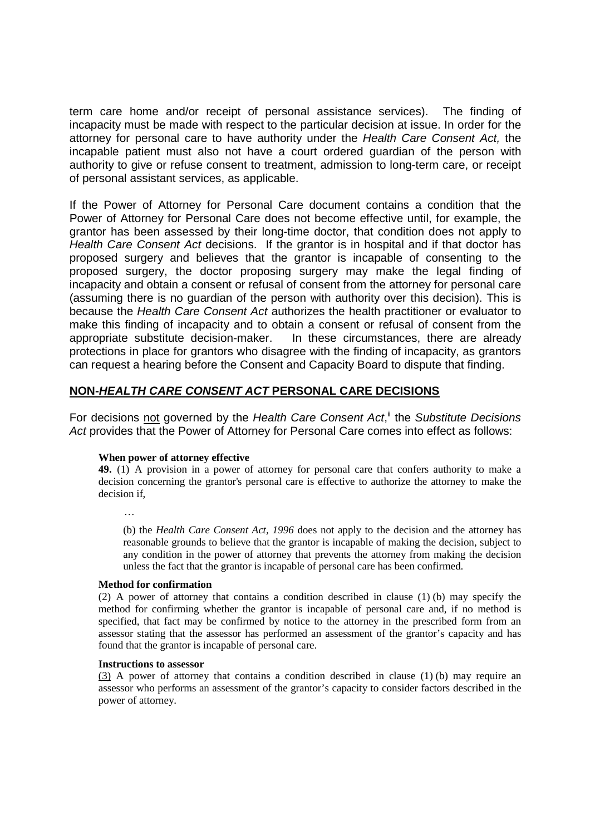term care home and/or receipt of personal assistance services). The finding of incapacity must be made with respect to the particular decision at issue. In order for the attorney for personal care to have authority under the Health Care Consent Act, the incapable patient must also not have a court ordered guardian of the person with authority to give or refuse consent to treatment, admission to long-term care, or receipt of personal assistant services, as applicable.

If the Power of Attorney for Personal Care document contains a condition that the Power of Attorney for Personal Care does not become effective until, for example, the grantor has been assessed by their long-time doctor, that condition does not apply to Health Care Consent Act decisions. If the grantor is in hospital and if that doctor has proposed surgery and believes that the grantor is incapable of consenting to the proposed surgery, the doctor proposing surgery may make the legal finding of incapacity and obtain a consent or refusal of consent from the attorney for personal care (assuming there is no guardian of the person with authority over this decision). This is because the Health Care Consent Act authorizes the health practitioner or evaluator to make this finding of incapacity and to obtain a consent or refusal of consent from the appropriate substitute decision-maker. In these circumstances, there are already protections in place for grantors who disagree with the finding of incapacity, as grantors can request a hearing before the Consent and Capacity Board to dispute that finding.

## **NON-HEALTH CARE CONSENT ACT PERSONAL CARE DECISIONS**

For decisions not governed by the Health Care Consent Act,<sup>it</sup> the Substitute Decisions Act provides that the Power of Attorney for Personal Care comes into effect as follows:

#### **When power of attorney effective**

**49.** (1) A provision in a power of attorney for personal care that confers authority to make a decision concerning the grantor's personal care is effective to authorize the attorney to make the decision if,

…

(b) the *Health Care Consent Act, 1996* does not apply to the decision and the attorney has reasonable grounds to believe that the grantor is incapable of making the decision, subject to any condition in the power of attorney that prevents the attorney from making the decision unless the fact that the grantor is incapable of personal care has been confirmed.

#### **Method for confirmation**

(2) A power of attorney that contains a condition described in clause (1) (b) may specify the method for confirming whether the grantor is incapable of personal care and, if no method is specified, that fact may be confirmed by notice to the attorney in the prescribed form from an assessor stating that the assessor has performed an assessment of the grantor's capacity and has found that the grantor is incapable of personal care.

#### **Instructions to assessor**

(3) A power of attorney that contains a condition described in clause (1) (b) may require an assessor who performs an assessment of the grantor's capacity to consider factors described in the power of attorney.